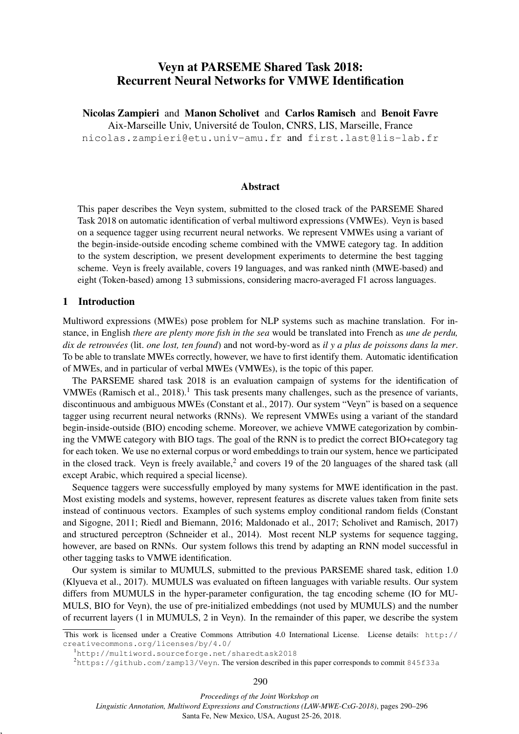# Veyn at PARSEME Shared Task 2018: Recurrent Neural Networks for VMWE Identification

Nicolas Zampieri and Manon Scholivet and Carlos Ramisch and Benoit Favre Aix-Marseille Univ, Universite de Toulon, CNRS, LIS, Marseille, France ´ nicolas.zampieri@etu.univ-amu.fr and first.last@lis-lab.fr

### Abstract

This paper describes the Veyn system, submitted to the closed track of the PARSEME Shared Task 2018 on automatic identification of verbal multiword expressions (VMWEs). Veyn is based on a sequence tagger using recurrent neural networks. We represent VMWEs using a variant of the begin-inside-outside encoding scheme combined with the VMWE category tag. In addition to the system description, we present development experiments to determine the best tagging scheme. Veyn is freely available, covers 19 languages, and was ranked ninth (MWE-based) and eight (Token-based) among 13 submissions, considering macro-averaged F1 across languages.

## 1 Introduction

,

Multiword expressions (MWEs) pose problem for NLP systems such as machine translation. For instance, in English *there are plenty more fish in the sea* would be translated into French as *une de perdu, dix de retrouvees ´* (lit. *one lost, ten found*) and not word-by-word as *il y a plus de poissons dans la mer*. To be able to translate MWEs correctly, however, we have to first identify them. Automatic identification of MWEs, and in particular of verbal MWEs (VMWEs), is the topic of this paper.

The PARSEME shared task 2018 is an evaluation campaign of systems for the identification of VMWEs (Ramisch et al., 2018).<sup>1</sup> This task presents many challenges, such as the presence of variants, discontinuous and ambiguous MWEs (Constant et al., 2017). Our system "Veyn" is based on a sequence tagger using recurrent neural networks (RNNs). We represent VMWEs using a variant of the standard begin-inside-outside (BIO) encoding scheme. Moreover, we achieve VMWE categorization by combining the VMWE category with BIO tags. The goal of the RNN is to predict the correct BIO+category tag for each token. We use no external corpus or word embeddings to train our system, hence we participated in the closed track. Veyn is freely available,<sup>2</sup> and covers 19 of the 20 languages of the shared task (all except Arabic, which required a special license).

Sequence taggers were successfully employed by many systems for MWE identification in the past. Most existing models and systems, however, represent features as discrete values taken from finite sets instead of continuous vectors. Examples of such systems employ conditional random fields (Constant and Sigogne, 2011; Riedl and Biemann, 2016; Maldonado et al., 2017; Scholivet and Ramisch, 2017) and structured perceptron (Schneider et al., 2014). Most recent NLP systems for sequence tagging, however, are based on RNNs. Our system follows this trend by adapting an RNN model successful in other tagging tasks to VMWE identification.

Our system is similar to MUMULS, submitted to the previous PARSEME shared task, edition 1.0 (Klyueva et al., 2017). MUMULS was evaluated on fifteen languages with variable results. Our system differs from MUMULS in the hyper-parameter configuration, the tag encoding scheme (IO for MU-MULS, BIO for Veyn), the use of pre-initialized embeddings (not used by MUMULS) and the number of recurrent layers (1 in MUMULS, 2 in Veyn). In the remainder of this paper, we describe the system

*Proceedings of the Joint Workshop on*

*Linguistic Annotation, Multiword Expressions and Constructions (LAW-MWE-CxG-2018)*, pages 290–296 Santa Fe, New Mexico, USA, August 25-26, 2018.

This work is licensed under a Creative Commons Attribution 4.0 International License. License details: http:// creativecommons.org/licenses/by/4.0/

<sup>1</sup>http://multiword.sourceforge.net/sharedtask2018

 $2$ https://github.com/zamp13/Veyn. The version described in this paper corresponds to commit 845f33a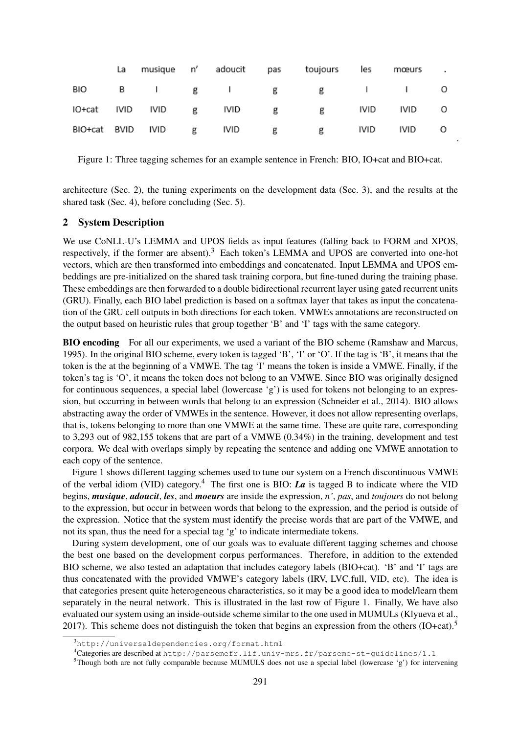| La l |  |  | musique n' adoucit pas toujours les      | mœurs. |  |
|------|--|--|------------------------------------------|--------|--|
|      |  |  | BIO B I g I g g I I O                    |        |  |
|      |  |  | IO+cat IVID IVID g IVID g g IVID IVID O  |        |  |
|      |  |  | BIO+cat BVID IVID g IVID g g IVID IVID O |        |  |

Figure 1: Three tagging schemes for an example sentence in French: BIO, IO+cat and BIO+cat.

architecture (Sec. 2), the tuning experiments on the development data (Sec. 3), and the results at the shared task (Sec. 4), before concluding (Sec. 5).

#### 2 System Description

We use CoNLL-U's LEMMA and UPOS fields as input features (falling back to FORM and XPOS, respectively, if the former are absent).<sup>3</sup> Each token's LEMMA and UPOS are converted into one-hot vectors, which are then transformed into embeddings and concatenated. Input LEMMA and UPOS embeddings are pre-initialized on the shared task training corpora, but fine-tuned during the training phase. These embeddings are then forwarded to a double bidirectional recurrent layer using gated recurrent units (GRU). Finally, each BIO label prediction is based on a softmax layer that takes as input the concatenation of the GRU cell outputs in both directions for each token. VMWEs annotations are reconstructed on the output based on heuristic rules that group together 'B' and 'I' tags with the same category.

BIO encoding For all our experiments, we used a variant of the BIO scheme (Ramshaw and Marcus, 1995). In the original BIO scheme, every token is tagged 'B', 'I' or 'O'. If the tag is 'B', it means that the token is the at the beginning of a VMWE. The tag 'I' means the token is inside a VMWE. Finally, if the token's tag is 'O', it means the token does not belong to an VMWE. Since BIO was originally designed for continuous sequences, a special label (lowercase 'g') is used for tokens not belonging to an expression, but occurring in between words that belong to an expression (Schneider et al., 2014). BIO allows abstracting away the order of VMWEs in the sentence. However, it does not allow representing overlaps, that is, tokens belonging to more than one VMWE at the same time. These are quite rare, corresponding to 3,293 out of 982,155 tokens that are part of a VMWE (0.34%) in the training, development and test corpora. We deal with overlaps simply by repeating the sentence and adding one VMWE annotation to each copy of the sentence.

Figure 1 shows different tagging schemes used to tune our system on a French discontinuous VMWE of the verbal idiom (VID) category.<sup>4</sup> The first one is BIO: *La* is tagged B to indicate where the VID begins, *musique*, *adoucit*, *les*, and *moeurs* are inside the expression, *n'*, *pas*, and *toujours* do not belong to the expression, but occur in between words that belong to the expression, and the period is outside of the expression. Notice that the system must identify the precise words that are part of the VMWE, and not its span, thus the need for a special tag 'g' to indicate intermediate tokens.

During system development, one of our goals was to evaluate different tagging schemes and choose the best one based on the development corpus performances. Therefore, in addition to the extended BIO scheme, we also tested an adaptation that includes category labels (BIO+cat). 'B' and 'I' tags are thus concatenated with the provided VMWE's category labels (IRV, LVC.full, VID, etc). The idea is that categories present quite heterogeneous characteristics, so it may be a good idea to model/learn them separately in the neural network. This is illustrated in the last row of Figure 1. Finally, We have also evaluated our system using an inside-outside scheme similar to the one used in MUMULs (Klyueva et al., 2017). This scheme does not distinguish the token that begins an expression from the others (IO+cat).<sup>5</sup>

<sup>&</sup>lt;sup>3</sup>http://universaldependencies.org/format.html

<sup>4</sup>Categories are described at http://parsemefr.lif.univ-mrs.fr/parseme-st-guidelines/1.1

<sup>5</sup>Though both are not fully comparable because MUMULS does not use a special label (lowercase 'g') for intervening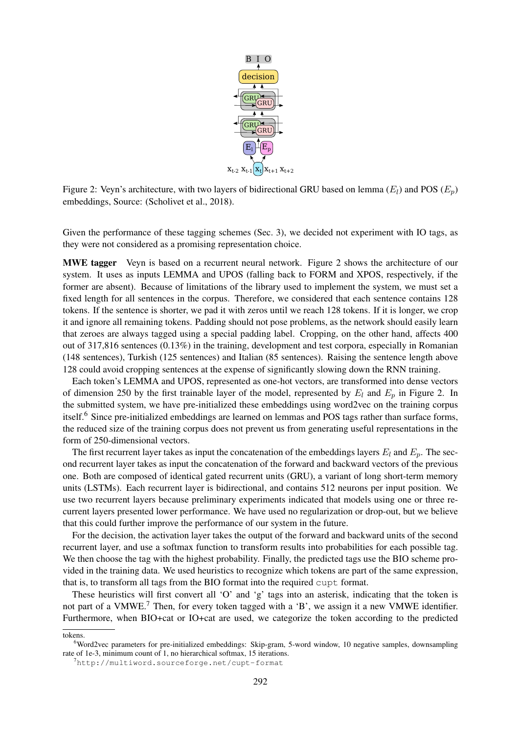

Figure 2: Veyn's architecture, with two layers of bidirectional GRU based on lemma ( $E_l$ ) and POS ( $E_p$ ) embeddings, Source: (Scholivet et al., 2018).

Given the performance of these tagging schemes (Sec. 3), we decided not experiment with IO tags, as they were not considered as a promising representation choice.

MWE tagger Veyn is based on a recurrent neural network. Figure 2 shows the architecture of our system. It uses as inputs LEMMA and UPOS (falling back to FORM and XPOS, respectively, if the former are absent). Because of limitations of the library used to implement the system, we must set a fixed length for all sentences in the corpus. Therefore, we considered that each sentence contains 128 tokens. If the sentence is shorter, we pad it with zeros until we reach 128 tokens. If it is longer, we crop it and ignore all remaining tokens. Padding should not pose problems, as the network should easily learn that zeroes are always tagged using a special padding label. Cropping, on the other hand, affects 400 out of 317,816 sentences (0.13%) in the training, development and test corpora, especially in Romanian (148 sentences), Turkish (125 sentences) and Italian (85 sentences). Raising the sentence length above 128 could avoid cropping sentences at the expense of significantly slowing down the RNN training.

Each token's LEMMA and UPOS, represented as one-hot vectors, are transformed into dense vectors of dimension 250 by the first trainable layer of the model, represented by  $E_l$  and  $E_p$  in Figure 2. In the submitted system, we have pre-initialized these embeddings using word2vec on the training corpus itself.<sup>6</sup> Since pre-initialized embeddings are learned on lemmas and POS tags rather than surface forms, the reduced size of the training corpus does not prevent us from generating useful representations in the form of 250-dimensional vectors.

The first recurrent layer takes as input the concatenation of the embeddings layers  $E_l$  and  $E_p$ . The second recurrent layer takes as input the concatenation of the forward and backward vectors of the previous one. Both are composed of identical gated recurrent units (GRU), a variant of long short-term memory units (LSTMs). Each recurrent layer is bidirectional, and contains 512 neurons per input position. We use two recurrent layers because preliminary experiments indicated that models using one or three recurrent layers presented lower performance. We have used no regularization or drop-out, but we believe that this could further improve the performance of our system in the future.

For the decision, the activation layer takes the output of the forward and backward units of the second recurrent layer, and use a softmax function to transform results into probabilities for each possible tag. We then choose the tag with the highest probability. Finally, the predicted tags use the BIO scheme provided in the training data. We used heuristics to recognize which tokens are part of the same expression, that is, to transform all tags from the BIO format into the required cupt format.

These heuristics will first convert all 'O' and 'g' tags into an asterisk, indicating that the token is not part of a VMWE.<sup>7</sup> Then, for every token tagged with a 'B', we assign it a new VMWE identifier. Furthermore, when BIO+cat or IO+cat are used, we categorize the token according to the predicted

tokens.

<sup>6</sup>Word2vec parameters for pre-initialized embeddings: Skip-gram, 5-word window, 10 negative samples, downsampling rate of 1e-3, minimum count of 1, no hierarchical softmax, 15 iterations.

<sup>7</sup>http://multiword.sourceforge.net/cupt-format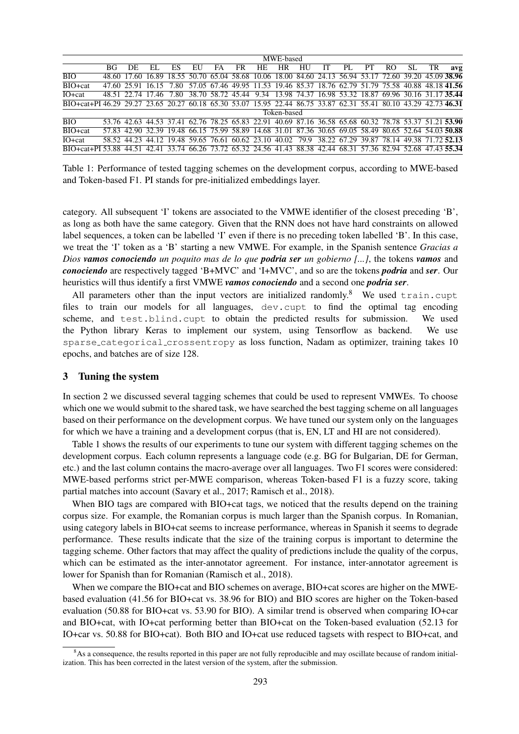| ВG          | DE. | ЕI    | ES                | EU                | FA | FR | HE. | HR | HU | IТ                                                                         | PL | PТ | RO                | SL. | TR | avg                                                                                                                                                                                                                                                                                                                                                                                                                                                                                                                                                                                                                                                                                                                                                   |
|-------------|-----|-------|-------------------|-------------------|----|----|-----|----|----|----------------------------------------------------------------------------|----|----|-------------------|-----|----|-------------------------------------------------------------------------------------------------------------------------------------------------------------------------------------------------------------------------------------------------------------------------------------------------------------------------------------------------------------------------------------------------------------------------------------------------------------------------------------------------------------------------------------------------------------------------------------------------------------------------------------------------------------------------------------------------------------------------------------------------------|
|             |     |       |                   |                   |    |    |     |    |    |                                                                            |    |    |                   |     |    |                                                                                                                                                                                                                                                                                                                                                                                                                                                                                                                                                                                                                                                                                                                                                       |
|             |     |       | 7.80              |                   |    |    |     |    |    |                                                                            |    |    |                   |     |    |                                                                                                                                                                                                                                                                                                                                                                                                                                                                                                                                                                                                                                                                                                                                                       |
|             |     |       | 7.80              |                   |    |    |     |    |    |                                                                            |    |    |                   |     |    |                                                                                                                                                                                                                                                                                                                                                                                                                                                                                                                                                                                                                                                                                                                                                       |
|             |     |       |                   |                   |    |    |     |    |    |                                                                            |    |    |                   |     |    |                                                                                                                                                                                                                                                                                                                                                                                                                                                                                                                                                                                                                                                                                                                                                       |
| Token-based |     |       |                   |                   |    |    |     |    |    |                                                                            |    |    |                   |     |    |                                                                                                                                                                                                                                                                                                                                                                                                                                                                                                                                                                                                                                                                                                                                                       |
|             |     |       |                   |                   |    |    |     |    |    |                                                                            |    |    |                   |     |    |                                                                                                                                                                                                                                                                                                                                                                                                                                                                                                                                                                                                                                                                                                                                                       |
|             |     |       |                   |                   |    |    |     |    |    |                                                                            |    |    |                   |     |    |                                                                                                                                                                                                                                                                                                                                                                                                                                                                                                                                                                                                                                                                                                                                                       |
|             |     |       |                   |                   |    |    |     |    |    |                                                                            |    |    |                   |     |    |                                                                                                                                                                                                                                                                                                                                                                                                                                                                                                                                                                                                                                                                                                                                                       |
|             |     |       |                   |                   |    |    |     |    |    |                                                                            |    |    |                   |     |    |                                                                                                                                                                                                                                                                                                                                                                                                                                                                                                                                                                                                                                                                                                                                                       |
|             |     | 48.60 | 47.60 25.91 16.15 | 48.51 22.74 17.46 |    |    |     |    |    | MWE-based<br>79.9<br>58.52 44.23 44.12 19.48 59.65 76.61 60.62 23.10 40.02 |    |    | 38.22 67.29 39.87 |     |    | 17.60 16.89 18.55 50.70 65.04 58.68 10.06 18.00 84.60 24.13 56.94 53.17 72.60 39.20 45.09 38.96<br>57.05 67.46 49.95 11.53 19.46 85.37 18.76 62.79 51.79 75.58 40.88 48.18 41.56<br>38.70 58.72 45.44 9.34 13.98 74.37 16.98 53.32 18.87 69.96 30.16 31.17 35.44<br>BIO+cat+PI 46.29 29.27 23.65 20.27 60.18 65.30 53.07 15.95 22.44 86.75 33.87 62.31 55.41 80.10 43.29 42.73 46.31<br>53.76 42.63 44.53 37.41 62.76 78.25 65.83 22.91 40.69 87.16 36.58 65.68 60.32 78.78 53.37 51.21 53.90<br>57.83 42.90 32.39 19.48 66.15 75.99 58.89 14.68 31.01 87.36 30.65 69.05 58.49 80.65 52.64 54.03 50.88<br>78.14 49.38 71.72.52.13<br>BIO+cat+PI 53.88 44.51 42.41 33.74 66.26 73.72 65.32 24.56 41.43 88.38 42.44 68.31 57.36 82.94 52.68 47.43 55.34 |

Table 1: Performance of tested tagging schemes on the development corpus, according to MWE-based and Token-based F1. PI stands for pre-initialized embeddings layer.

category. All subsequent 'I' tokens are associated to the VMWE identifier of the closest preceding 'B', as long as both have the same category. Given that the RNN does not have hard constraints on allowed label sequences, a token can be labelled 'I' even if there is no preceding token labelled 'B'. In this case, we treat the 'I' token as a 'B' starting a new VMWE. For example, in the Spanish sentence *Gracias a Dios vamos conociendo un poquito mas de lo que podria ser un gobierno [...]*, the tokens *vamos* and *conociendo* are respectively tagged 'B+MVC' and 'I+MVC', and so are the tokens *podria* and *ser*. Our heuristics will thus identify a first VMWE *vamos conociendo* and a second one *podria ser*.

All parameters other than the input vectors are initialized randomly.<sup>8</sup> We used train.cupt files to train our models for all languages, dev.cupt to find the optimal tag encoding scheme, and test.blind.cupt to obtain the predicted results for submission. We used the Python library Keras to implement our system, using Tensorflow as backend. We use sparse categorical crossentropy as loss function, Nadam as optimizer, training takes 10 epochs, and batches are of size 128.

#### 3 Tuning the system

In section 2 we discussed several tagging schemes that could be used to represent VMWEs. To choose which one we would submit to the shared task, we have searched the best tagging scheme on all languages based on their performance on the development corpus. We have tuned our system only on the languages for which we have a training and a development corpus (that is, EN, LT and HI are not considered).

Table 1 shows the results of our experiments to tune our system with different tagging schemes on the development corpus. Each column represents a language code (e.g. BG for Bulgarian, DE for German, etc.) and the last column contains the macro-average over all languages. Two F1 scores were considered: MWE-based performs strict per-MWE comparison, whereas Token-based F1 is a fuzzy score, taking partial matches into account (Savary et al., 2017; Ramisch et al., 2018).

When BIO tags are compared with BIO+cat tags, we noticed that the results depend on the training corpus size. For example, the Romanian corpus is much larger than the Spanish corpus. In Romanian, using category labels in BIO+cat seems to increase performance, whereas in Spanish it seems to degrade performance. These results indicate that the size of the training corpus is important to determine the tagging scheme. Other factors that may affect the quality of predictions include the quality of the corpus, which can be estimated as the inter-annotator agreement. For instance, inter-annotator agreement is lower for Spanish than for Romanian (Ramisch et al., 2018).

When we compare the BIO+cat and BIO schemes on average, BIO+cat scores are higher on the MWEbased evaluation (41.56 for BIO+cat vs. 38.96 for BIO) and BIO scores are higher on the Token-based evaluation (50.88 for BIO+cat vs. 53.90 for BIO). A similar trend is observed when comparing IO+car and BIO+cat, with IO+cat performing better than BIO+cat on the Token-based evaluation (52.13 for IO+car vs. 50.88 for BIO+cat). Both BIO and IO+cat use reduced tagsets with respect to BIO+cat, and

 $8$ As a consequence, the results reported in this paper are not fully reproducible and may oscillate because of random initialization. This has been corrected in the latest version of the system, after the submission.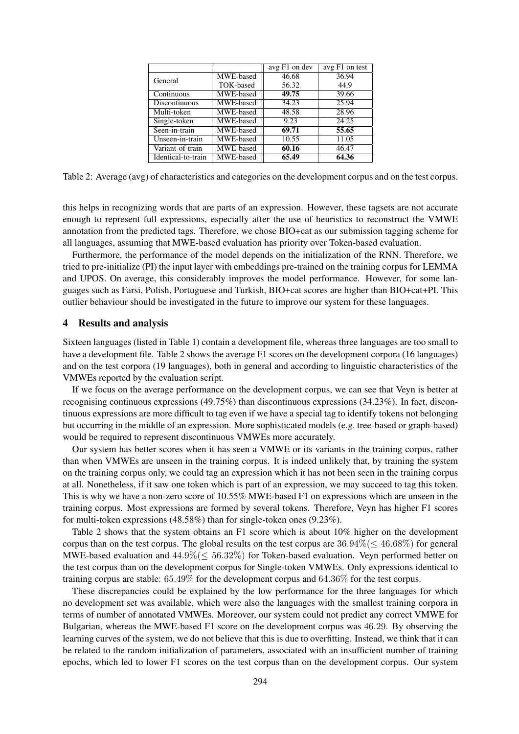|                    |           | avg F1 on dev | avg F1 on test |  |  |
|--------------------|-----------|---------------|----------------|--|--|
| General            | MWE-based | 46.68         | 36.94          |  |  |
|                    | TOK-based | 56.32         | 44.9           |  |  |
| Continuous         | MWE-based | 49.75         | 39.66          |  |  |
| Discontinuous      | MWE-based | 34.23         | 25.94          |  |  |
| Multi-token        | MWE-based | 48.58         | 28.96          |  |  |
| Single-token       | MWE-based | 9.23          | 24.25          |  |  |
| Seen-in-train      | MWE-based | 69.71         | 55.65          |  |  |
| Unseen-in-train    | MWE-based | 10.55         | 11.05          |  |  |
| Variant-of-train   | MWE-based | 60.16         | 46.47          |  |  |
| Identical-to-train | MWE-based | 65.49         | 64.36          |  |  |

Table 2: Average (avg) of characteristics and categories on the development corpus and on the test corpus.

this helps in recognizing words that are parts of an expression. However, these tagsets are not accurate enough to represent full expressions, especially after the use of heuristics to reconstruct the VMWE annotation from the predicted tags. Therefore, we chose BIO+cat as our submission tagging scheme for all languages, assuming that MWE-based evaluation has priority over Token-based evaluation.

Furthermore, the performance of the model depends on the initialization of the RNN. Therefore, we tried to pre-initialize (PI) the input layer with embeddings pre-trained on the training corpus for LEMMA and UPOS. On average, this considerably improves the model performance. However, for some languages such as Farsi, Polish, Portuguese and Turkish, BIO+cat scores are higher than BIO+cat+PI. This outlier behaviour should be investigated in the future to improve our system for these languages.

## 4 Results and analysis

Sixteen languages (listed in Table 1) contain a development file, whereas three languages are too small to have a development file. Table 2 shows the average F1 scores on the development corpora (16 languages) and on the test corpora (19 languages), both in general and according to linguistic characteristics of the VMWEs reported by the evaluation script.

If we focus on the average performance on the development corpus, we can see that Veyn is better at recognising continuous expressions (49.75%) than discontinuous expressions (34.23%). In fact, discontinuous expressions are more difficult to tag even if we have a special tag to identify tokens not belonging but occurring in the middle of an expression. More sophisticated models (e.g. tree-based or graph-based) would be required to represent discontinuous VMWEs more accurately.

Our system has better scores when it has seen a VMWE or its variants in the training corpus, rather than when VMWEs are unseen in the training corpus. It is indeed unlikely that, by training the system on the training corpus only, we could tag an expression which it has not been seen in the training corpus at all. Nonetheless, if it saw one token which is part of an expression, we may succeed to tag this token. This is why we have a non-zero score of 10.55% MWE-based F1 on expressions which are unseen in the training corpus. Most expressions are formed by several tokens. Therefore, Veyn has higher F1 scores for multi-token expressions (48.58%) than for single-token ones (9.23%).

Table 2 shows that the system obtains an F1 score which is about 10% higher on the development corpus than on the test corpus. The global results on the test corpus are  $36.94\% (\leq 46.68\%)$  for general MWE-based evaluation and  $44.9\% (\leq 56.32\%)$  for Token-based evaluation. Veyn performed better on the test corpus than on the development corpus for Single-token VMWEs. Only expressions identical to training corpus are stable: 65.49% for the development corpus and 64.36% for the test corpus.

These discrepancies could be explained by the low performance for the three languages for which no development set was available, which were also the languages with the smallest training corpora in terms of number of annotated VMWEs. Moreover, our system could not predict any correct VMWE for Bulgarian, whereas the MWE-based F1 score on the development corpus was 46.29. By observing the learning curves of the system, we do not believe that this is due to overfitting. Instead, we think that it can be related to the random initialization of parameters, associated with an insufficient number of training epochs, which led to lower F1 scores on the test corpus than on the development corpus. Our system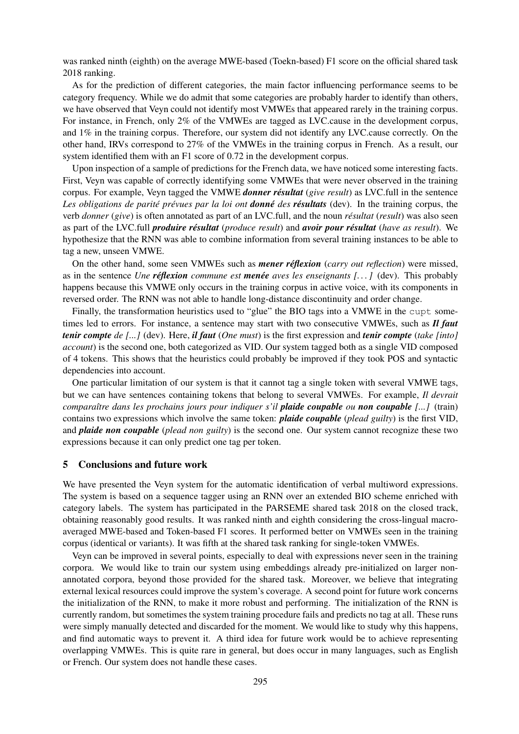was ranked ninth (eighth) on the average MWE-based (Toekn-based) F1 score on the official shared task 2018 ranking.

As for the prediction of different categories, the main factor influencing performance seems to be category frequency. While we do admit that some categories are probably harder to identify than others, we have observed that Veyn could not identify most VMWEs that appeared rarely in the training corpus. For instance, in French, only 2% of the VMWEs are tagged as LVC.cause in the development corpus, and 1% in the training corpus. Therefore, our system did not identify any LVC.cause correctly. On the other hand, IRVs correspond to 27% of the VMWEs in the training corpus in French. As a result, our system identified them with an F1 score of 0.72 in the development corpus.

Upon inspection of a sample of predictions for the French data, we have noticed some interesting facts. First, Veyn was capable of correctly identifying some VMWEs that were never observed in the training corpus. For example, Veyn tagged the VMWE *donner resultat ´* (*give result*) as LVC.full in the sentence *Les obligations de parité prévues par la loi ont <i>donné* des *résultats* (dev). In the training corpus, the verb *donner* (*give*) is often annotated as part of an LVC.full, and the noun *resultat ´* (*result*) was also seen as part of the LVC.full *produire resultat ´* (*produce result*) and *avoir pour resultat ´* (*have as result*). We hypothesize that the RNN was able to combine information from several training instances to be able to tag a new, unseen VMWE.

On the other hand, some seen VMWEs such as *mener reflexion ´* (*carry out reflection*) were missed, as in the sentence *Une reflexion ´ commune est menee´ aves les enseignants [. . . ]* (dev). This probably happens because this VMWE only occurs in the training corpus in active voice, with its components in reversed order. The RNN was not able to handle long-distance discontinuity and order change.

Finally, the transformation heuristics used to "glue" the BIO tags into a VMWE in the cupt sometimes led to errors. For instance, a sentence may start with two consecutive VMWEs, such as *Il faut tenir compte de [...]* (dev). Here, *il faut* (*One must*) is the first expression and *tenir compte* (*take [into] account*) is the second one, both categorized as VID. Our system tagged both as a single VID composed of 4 tokens. This shows that the heuristics could probably be improved if they took POS and syntactic dependencies into account.

One particular limitation of our system is that it cannot tag a single token with several VMWE tags, but we can have sentences containing tokens that belong to several VMWEs. For example, *Il devrait comparaˆıtre dans les prochains jours pour indiquer s'il plaide coupable ou non coupable [...]* (train) contains two expressions which involve the same token: *plaide coupable* (*plead guilty*) is the first VID, and *plaide non coupable* (*plead non guilty*) is the second one. Our system cannot recognize these two expressions because it can only predict one tag per token.

#### 5 Conclusions and future work

We have presented the Veyn system for the automatic identification of verbal multiword expressions. The system is based on a sequence tagger using an RNN over an extended BIO scheme enriched with category labels. The system has participated in the PARSEME shared task 2018 on the closed track, obtaining reasonably good results. It was ranked ninth and eighth considering the cross-lingual macroaveraged MWE-based and Token-based F1 scores. It performed better on VMWEs seen in the training corpus (identical or variants). It was fifth at the shared task ranking for single-token VMWEs.

Veyn can be improved in several points, especially to deal with expressions never seen in the training corpora. We would like to train our system using embeddings already pre-initialized on larger nonannotated corpora, beyond those provided for the shared task. Moreover, we believe that integrating external lexical resources could improve the system's coverage. A second point for future work concerns the initialization of the RNN, to make it more robust and performing. The initialization of the RNN is currently random, but sometimes the system training procedure fails and predicts no tag at all. These runs were simply manually detected and discarded for the moment. We would like to study why this happens, and find automatic ways to prevent it. A third idea for future work would be to achieve representing overlapping VMWEs. This is quite rare in general, but does occur in many languages, such as English or French. Our system does not handle these cases.